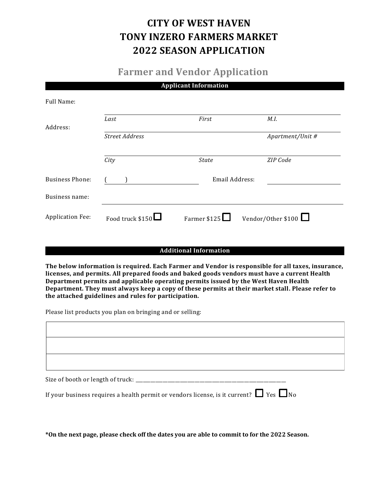# **CITY OF WEST HAVEN TONY INZERO FARMERS MARKET 2022 SEASON APPLICATION**

## **Farmer and Vendor Application**

|  | <b>Applicant Information</b> |
|--|------------------------------|
|  |                              |

| Full Name:              |                       |                |                    |
|-------------------------|-----------------------|----------------|--------------------|
| Address:                | Last                  | First          | M.I.               |
|                         | <b>Street Address</b> |                | Apartment/Unit #   |
|                         | City                  | <b>State</b>   | ZIP Code           |
| <b>Business Phone:</b>  |                       | Email Address: |                    |
| Business name:          |                       |                |                    |
| <b>Application Fee:</b> | Food truck $$150$     | Farmer $$125$  | Vendor/Other \$100 |

#### **Additional Information**

**The below information is required. Each Farmer and Vendor is responsible for all taxes, insurance, licenses, and permits. All prepared foods and baked goods vendors must have a current Health Department permits and applicable operating permits issued by the West Haven Health Department. They must always keep a copy of these permits at their market stall. Please refer to the attached guidelines and rules for participation.**

Please list products you plan on bringing and or selling:

| Size of booth or length of truck: ____________________ |  |  |
|--------------------------------------------------------|--|--|

If your business requires a health permit or vendors license, is it current?  $\Box$  Yes  $\Box$  No

**\*On the next page, please check off the dates you are able to commit to for the 2022 Season.**